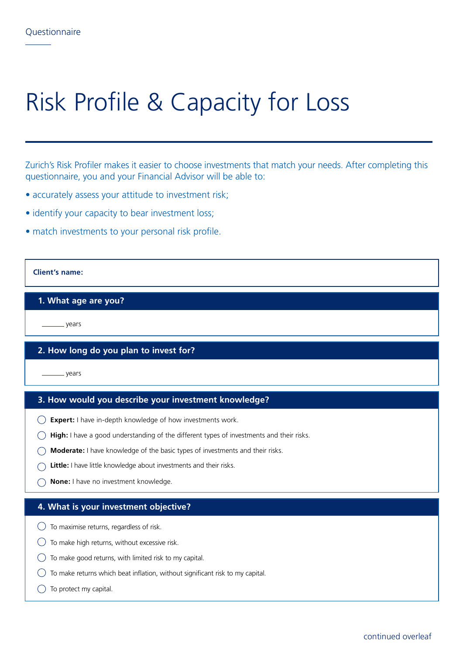# Risk Profile & Capacity for Loss

Zurich's Risk Profiler makes it easier to choose investments that match your needs. After completing this questionnaire, you and your Financial Advisor will be able to:

- accurately assess your attitude to investment risk;
- identify your capacity to bear investment loss;
- match investments to your personal risk profile.

### **Client's name:**

#### **1. What age are you?**

years

## **2. How long do you plan to invest for?**

years

#### **3. How would you describe your investment knowledge?**

- **Expert:** I have in-depth knowledge of how investments work.
- **High:** I have a good understanding of the different types of investments and their risks.
- **Moderate:** I have knowledge of the basic types of investments and their risks.
- **Little:** I have little knowledge about investments and their risks.
- **None:** I have no investment knowledge.

#### **4. What is your investment objective?**

- $\bigcirc$  To maximise returns, regardless of risk.
- $\bigcirc$  To make high returns, without excessive risk.
- $\bigcirc$  To make good returns, with limited risk to my capital.
- $\bigcirc$  To make returns which beat inflation, without significant risk to my capital.
- $\bigcirc$  To protect my capital.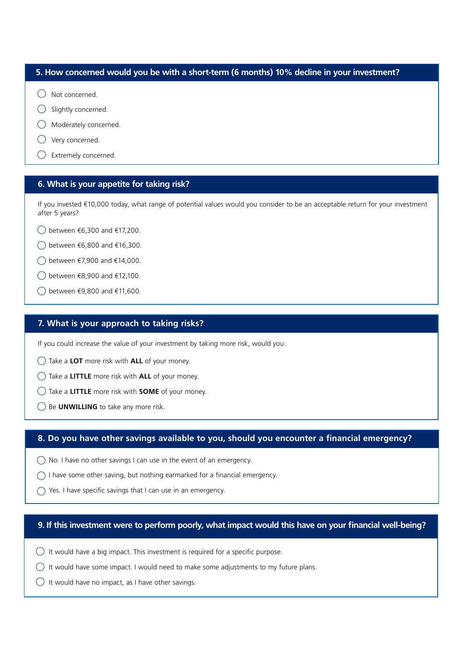# **5. How concerned would you be with a short-term (6 months) 10% decline in your investment?**

- $\bigcap$  Not concerned.
- $\bigcirc$  Slightly concerned.
- Moderately concerned.
- Very concerned.
- Extremely concerned.

# **6. What is your appetite for taking risk?**

If you invested €10,000 today, what range of potential values would you consider to be an acceptable return for your investment after 5 years?

- between €6,300 and €17,200.
- between €6,800 and €16,300.
- between €7,900 and €14,000.
- between €8,900 and €12,100.
- between €9,800 and €11,600.

# **7. What is your approach to taking risks?**

If you could increase the value of your investment by taking more risk, would you:

- Take a **LOT** more risk with **ALL** of your money.
- Take a **LITTLE** more risk with **ALL** of your money.
- Take a **LITTLE** more risk with **SOME** of your money.
- Be **UNWILLING** to take any more risk.

# **8. Do you have other savings available to you, should you encounter a financial emergency?**

- $\bigcirc$  No. I have no other savings I can use in the event of an emergency.
- $\bigcap$  I have some other saving, but nothing earmarked for a financial emergency.
- $\bigcap$  Yes. I have specific savings that I can use in an emergency.

### **9. If this investment were to perform poorly, what impact would this have on your financial well-being?**

- $\bigcirc$  It would have a big impact. This investment is required for a specific purpose.
- $\bigcirc$  It would have some impact. I would need to make some adjustments to my future plans.
- $\bigcirc$  It would have no impact, as I have other savings.